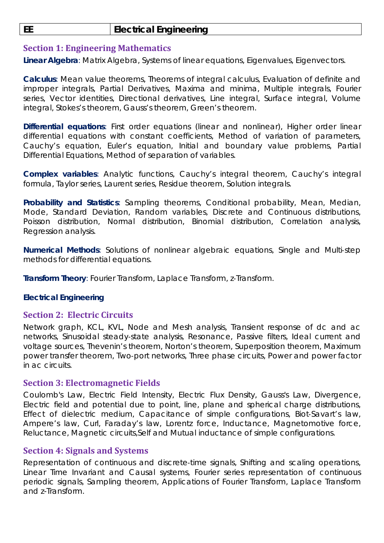# **EE Electrical Engineering**

## **Section 1: Engineering Mathematics**

**Linear Algebra**: Matrix Algebra, Systems of linear equations, Eigenvalues, Eigenvectors.

**Calculus**: Mean value theorems, Theorems of integral calculus, Evaluation of definite and improper integrals, Partial Derivatives, Maxima and minima, Multiple integrals, Fourier series, Vector identities, Directional derivatives, Line integral, Surface integral, Volume integral, Stokes's theorem, Gauss's theorem, Green's theorem.

**Differential equations**: First order equations (linear and nonlinear), Higher order linear differential equations with constant coefficients, Method of variation of parameters, Cauchy's equation, Euler's equation, Initial and boundary value problems, Partial Differential Equations, Method of separation of variables.

**Complex variables**: Analytic functions, Cauchy's integral theorem, Cauchy's integral formula, Taylor series, Laurent series, Residue theorem, Solution integrals.

**Probability and Statistics**: Sampling theorems, Conditional probability, Mean, Median, Mode, Standard Deviation, Random variables, Discrete and Continuous distributions, Poisson distribution, Normal distribution, Binomial distribution, Correlation analysis, Regression analysis.

**Numerical Methods**: Solutions of nonlinear algebraic equations, Single and Multi‐step methods for differential equations.

**Transform Theory**: Fourier Transform, Laplace Transform, z‐Transform.

### *Electrical Engineering*

### **Section 2: Electric Circuits**

Network graph, KCL, KVL, Node and Mesh analysis, Transient response of dc and ac networks, Sinusoidal steady‐state analysis, Resonance, Passive filters, Ideal current and voltage sources, Thevenin's theorem, Norton's theorem, Superposition theorem, Maximum power transfer theorem, Two‐port networks, Three phase circuits, Power and power factor in ac circuits.

#### **Section 3: Electromagnetic Fields**

Coulomb's Law, Electric Field Intensity, Electric Flux Density, Gauss's Law, Divergence, Electric field and potential due to point, line, plane and spherical charge distributions, Effect of dielectric medium, Capacitance of simple configurations, Biot‐Savart's law, Ampere's law, Curl, Faraday's law, Lorentz force, Inductance, Magnetomotive force, Reluctance, Magnetic circuits,Self and Mutual inductance of simple configurations.

### **Section 4: Signals and Systems**

Representation of continuous and discrete‐time signals, Shifting and scaling operations, Linear Time Invariant and Causal systems, Fourier series representation of continuous periodic signals, Sampling theorem, Applications of Fourier Transform, Laplace Transform and z-Transform.